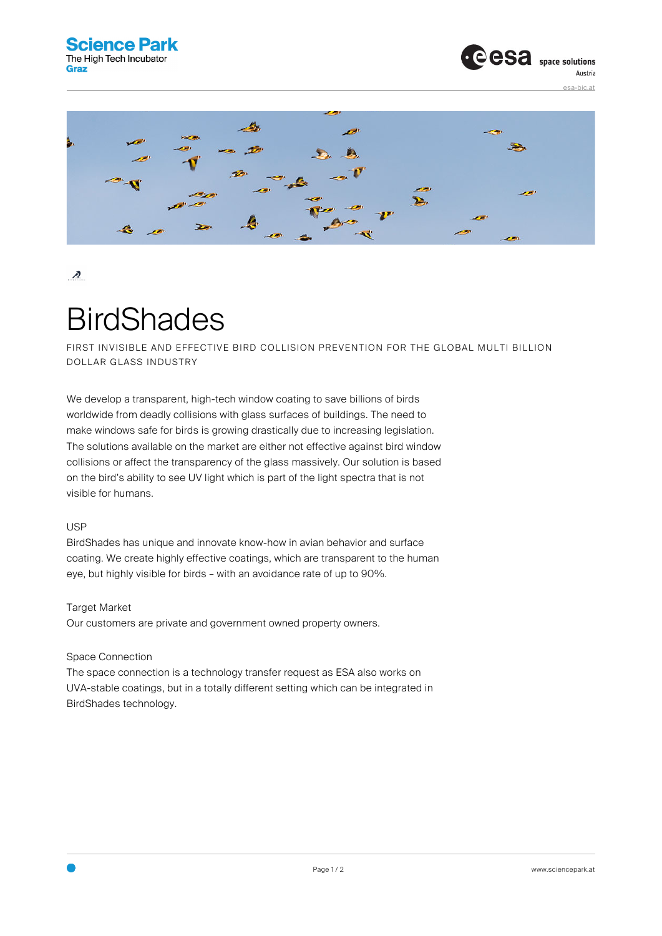

# $\boldsymbol{A}$

# **BirdShades**

FIRST INVISIBLE AND EFFECTIVE BIRD COLLISION PREVENTION FOR THE GLOBAL MULTI BILLION DOLLAR GLASS INDUSTRY

We develop a transparent, high-tech window coating to save billions of birds worldwide from deadly collisions with glass surfaces of buildings. The need to make windows safe for birds is growing drastically due to increasing legislation. The solutions available on the market are either not effective against bird window collisions or affect the transparency of the glass massively. Our solution is based on the bird's ability to see UV light which is part of the light spectra that is not visible for humans.

#### USP

BirdShades has unique and innovate know-how in avian behavior and surface coating. We create highly effective coatings, which are transparent to the human eye, but highly visible for birds – with an avoidance rate of up to 90%.

## Target Market

Our customers are private and government owned property owners.

## Space Connection

The space connection is a technology transfer request as ESA also works on UVA-stable coatings, but in a totally different setting which can be integrated in BirdShades technology.